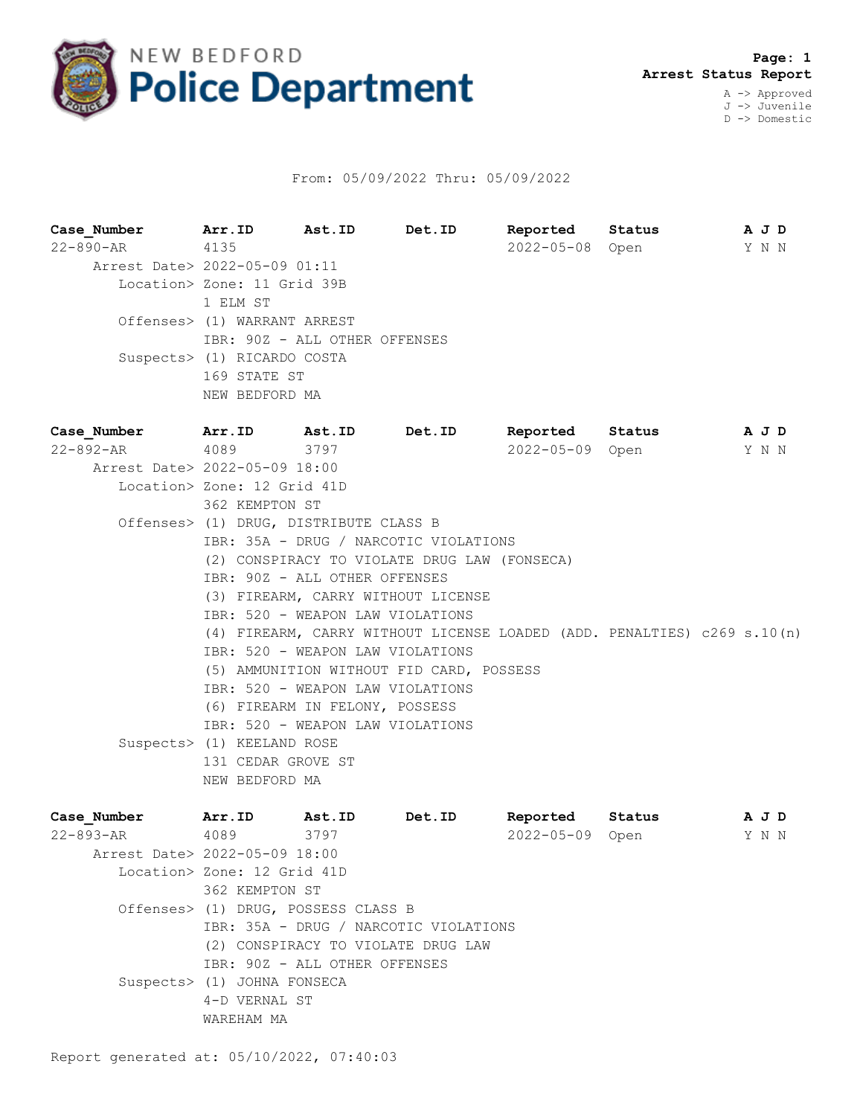

## From: 05/09/2022 Thru: 05/09/2022

**Case\_Number Arr.ID Ast.ID Det.ID Reported Status A J D** 22-890-AR 4135 2022-05-08 Open Y N N Arrest Date> 2022-05-09 01:11 Location> Zone: 11 Grid 39B 1 ELM ST Offenses> (1) WARRANT ARREST IBR: 90Z - ALL OTHER OFFENSES Suspects> (1) RICARDO COSTA 169 STATE ST NEW BEDFORD MA **Case\_Number Arr.ID Ast.ID Det.ID Reported Status A J D** 22-892-AR 4089 3797 2022-05-09 Open Y N N Arrest Date> 2022-05-09 18:00 Location> Zone: 12 Grid 41D 362 KEMPTON ST Offenses> (1) DRUG, DISTRIBUTE CLASS B IBR: 35A - DRUG / NARCOTIC VIOLATIONS (2) CONSPIRACY TO VIOLATE DRUG LAW (FONSECA) IBR: 90Z - ALL OTHER OFFENSES (3) FIREARM, CARRY WITHOUT LICENSE IBR: 520 - WEAPON LAW VIOLATIONS (4) FIREARM, CARRY WITHOUT LICENSE LOADED (ADD. PENALTIES) c269 s.10(n) IBR: 520 - WEAPON LAW VIOLATIONS (5) AMMUNITION WITHOUT FID CARD, POSSESS IBR: 520 - WEAPON LAW VIOLATIONS (6) FIREARM IN FELONY, POSSESS IBR: 520 - WEAPON LAW VIOLATIONS Suspects> (1) KEELAND ROSE 131 CEDAR GROVE ST NEW BEDFORD MA

| Case Number                   | Arr.ID                              | Ast.ID                             | Det.ID                                | Reported         | Status | A J D |  |
|-------------------------------|-------------------------------------|------------------------------------|---------------------------------------|------------------|--------|-------|--|
| $22 - 893 - AR$               | 4089                                | 3797                               |                                       | $2022 - 05 - 09$ | Open   | Y N N |  |
| Arrest Date> 2022-05-09 18:00 |                                     |                                    |                                       |                  |        |       |  |
|                               | Location> Zone: 12 Grid 41D         |                                    |                                       |                  |        |       |  |
|                               | 362 KEMPTON ST                      |                                    |                                       |                  |        |       |  |
|                               | Offenses> (1) DRUG, POSSESS CLASS B |                                    |                                       |                  |        |       |  |
|                               |                                     |                                    | IBR: 35A - DRUG / NARCOTIC VIOLATIONS |                  |        |       |  |
|                               |                                     | (2) CONSPIRACY TO VIOLATE DRUG LAW |                                       |                  |        |       |  |
|                               | IBR: 90Z - ALL OTHER OFFENSES       |                                    |                                       |                  |        |       |  |
|                               | Suspects> (1) JOHNA FONSECA         |                                    |                                       |                  |        |       |  |
|                               | 4-D VERNAL ST                       |                                    |                                       |                  |        |       |  |
|                               | WAREHAM MA                          |                                    |                                       |                  |        |       |  |